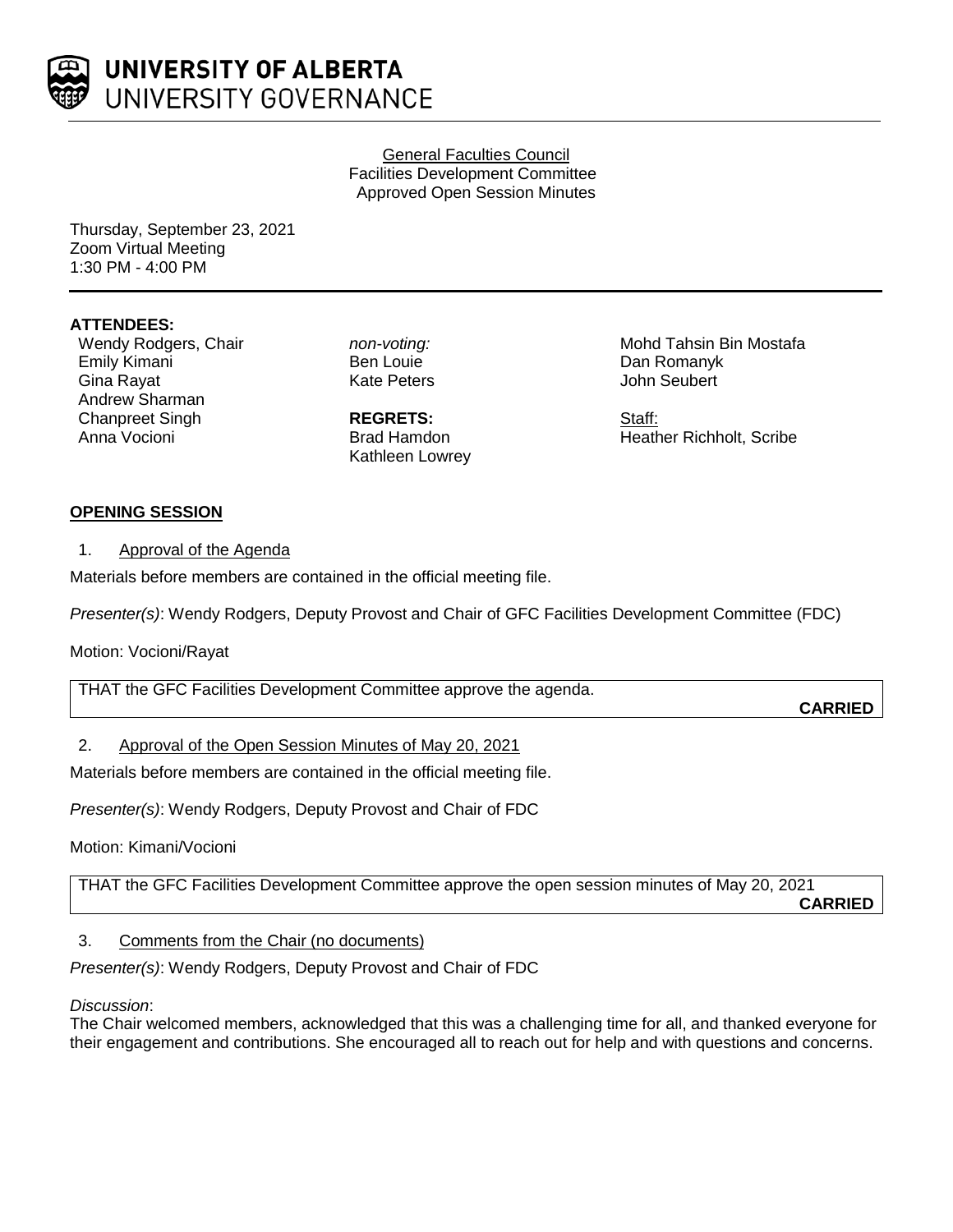

General Faculties Council Facilities Development Committee Approved Open Session Minutes

Thursday, September 23, 2021 Zoom Virtual Meeting 1:30 PM - 4:00 PM

## **ATTENDEES:**

Wendy Rodgers, Chair Emily Kimani Gina Rayat Andrew Sharman Chanpreet Singh Anna Vocioni

*non-voting:* Ben Louie Kate Peters

**REGRETS:** Brad Hamdon Kathleen Lowrey Mohd Tahsin Bin Mostafa Dan Romanyk John Seubert

Staff: Heather Richholt, Scribe

### **OPENING SESSION**

1. Approval of the Agenda

Materials before members are contained in the official meeting file.

*Presenter(s)*: Wendy Rodgers, Deputy Provost and Chair of GFC Facilities Development Committee (FDC)

Motion: Vocioni/Rayat

THAT the GFC Facilities Development Committee approve the agenda.

**CARRIED**

# 2. Approval of the Open Session Minutes of May 20, 2021

Materials before members are contained in the official meeting file.

*Presenter(s)*: Wendy Rodgers, Deputy Provost and Chair of FDC

Motion: Kimani/Vocioni

THAT the GFC Facilities Development Committee approve the open session minutes of May 20, 2021

**CARRIED**

### 3. Comments from the Chair (no documents)

*Presenter(s)*: Wendy Rodgers, Deputy Provost and Chair of FDC

### *Discussion*:

The Chair welcomed members, acknowledged that this was a challenging time for all, and thanked everyone for their engagement and contributions. She encouraged all to reach out for help and with questions and concerns.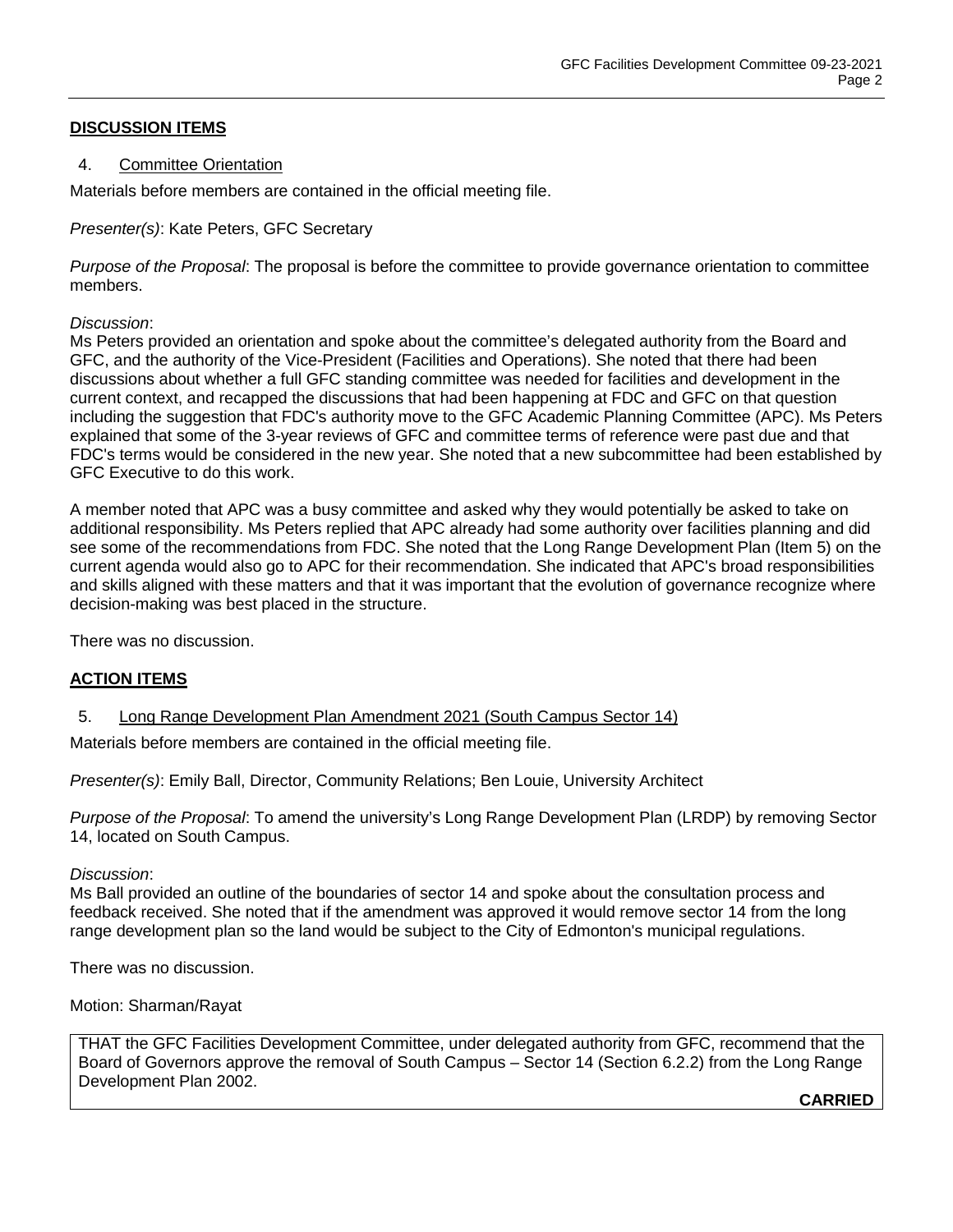## **DISCUSSION ITEMS**

### 4. Committee Orientation

Materials before members are contained in the official meeting file.

### *Presenter(s)*: Kate Peters, GFC Secretary

*Purpose of the Proposal*: The proposal is before the committee to provide governance orientation to committee members.

### *Discussion*:

Ms Peters provided an orientation and spoke about the committee's delegated authority from the Board and GFC, and the authority of the Vice-President (Facilities and Operations). She noted that there had been discussions about whether a full GFC standing committee was needed for facilities and development in the current context, and recapped the discussions that had been happening at FDC and GFC on that question including the suggestion that FDC's authority move to the GFC Academic Planning Committee (APC). Ms Peters explained that some of the 3-year reviews of GFC and committee terms of reference were past due and that FDC's terms would be considered in the new year. She noted that a new subcommittee had been established by GFC Executive to do this work.

A member noted that APC was a busy committee and asked why they would potentially be asked to take on additional responsibility. Ms Peters replied that APC already had some authority over facilities planning and did see some of the recommendations from FDC. She noted that the Long Range Development Plan (Item 5) on the current agenda would also go to APC for their recommendation. She indicated that APC's broad responsibilities and skills aligned with these matters and that it was important that the evolution of governance recognize where decision-making was best placed in the structure.

There was no discussion.

# **ACTION ITEMS**

5. Long Range Development Plan Amendment 2021 (South Campus Sector 14)

Materials before members are contained in the official meeting file.

*Presenter(s)*: Emily Ball, Director, Community Relations; Ben Louie, University Architect

*Purpose of the Proposal*: To amend the university's Long Range Development Plan (LRDP) by removing Sector 14, located on South Campus.

### *Discussion*:

Ms Ball provided an outline of the boundaries of sector 14 and spoke about the consultation process and feedback received. She noted that if the amendment was approved it would remove sector 14 from the long range development plan so the land would be subject to the City of Edmonton's municipal regulations.

There was no discussion.

Motion: Sharman/Rayat

THAT the GFC Facilities Development Committee, under delegated authority from GFC, recommend that the Board of Governors approve the removal of South Campus – Sector 14 (Section 6.2.2) from the Long Range Development Plan 2002.

**CARRIED**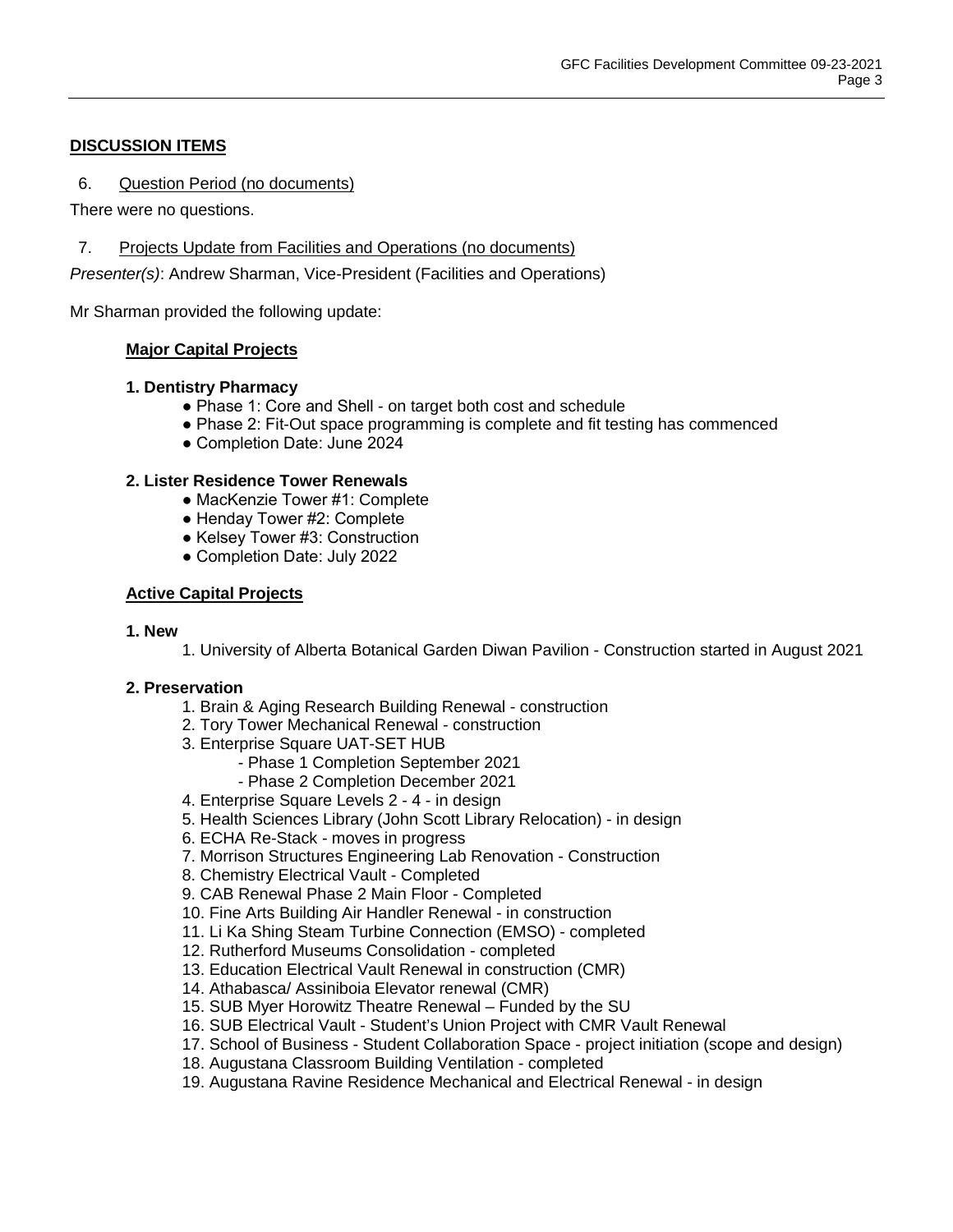# **DISCUSSION ITEMS**

6. Question Period (no documents)

There were no questions.

7. Projects Update from Facilities and Operations (no documents)

*Presenter(s)*: Andrew Sharman, Vice-President (Facilities and Operations)

Mr Sharman provided the following update:

## **Major Capital Projects**

### **1. Dentistry Pharmacy**

- Phase 1: Core and Shell on target both cost and schedule
- Phase 2: Fit-Out space programming is complete and fit testing has commenced
- Completion Date: June 2024

## **2. Lister Residence Tower Renewals**

- MacKenzie Tower #1: Complete
- Henday Tower #2: Complete
- Kelsey Tower #3: Construction
- Completion Date: July 2022

## **Active Capital Projects**

### **1. New**

1. University of Alberta Botanical Garden Diwan Pavilion - Construction started in August 2021

### **2. Preservation**

- 1. Brain & Aging Research Building Renewal construction
- 2. Tory Tower Mechanical Renewal construction
- 3. Enterprise Square UAT-SET HUB
	- Phase 1 Completion September 2021
		- Phase 2 Completion December 2021
- 4. Enterprise Square Levels 2 4 in design
- 5. Health Sciences Library (John Scott Library Relocation) in design
- 6. ECHA Re-Stack moves in progress
- 7. Morrison Structures Engineering Lab Renovation Construction
- 8. Chemistry Electrical Vault Completed
- 9. CAB Renewal Phase 2 Main Floor Completed
- 10. Fine Arts Building Air Handler Renewal in construction
- 11. Li Ka Shing Steam Turbine Connection (EMSO) completed
- 12. Rutherford Museums Consolidation completed
- 13. Education Electrical Vault Renewal in construction (CMR)
- 14. Athabasca/ Assiniboia Elevator renewal (CMR)
- 15. SUB Myer Horowitz Theatre Renewal Funded by the SU
- 16. SUB Electrical Vault Student's Union Project with CMR Vault Renewal
- 17. School of Business Student Collaboration Space project initiation (scope and design)
- 18. Augustana Classroom Building Ventilation completed
- 19. Augustana Ravine Residence Mechanical and Electrical Renewal in design